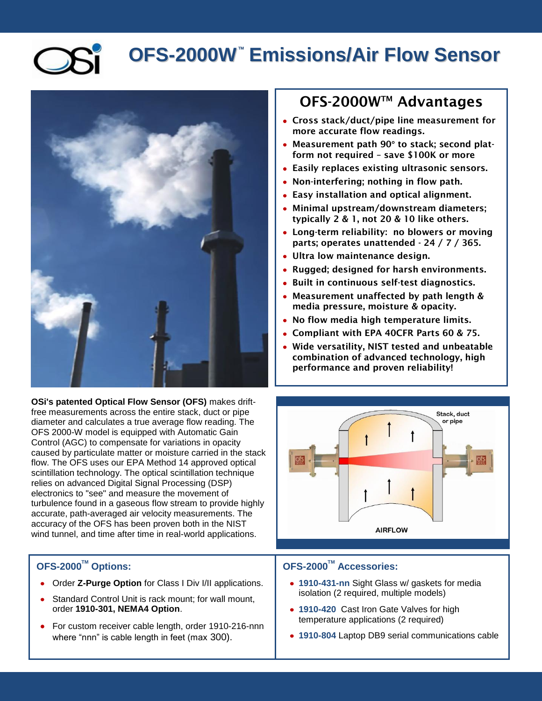**OFS-2000W TM Emissions/Air Flow Sensor**



**OSi's patented Optical Flow Sensor (OFS)** makes driftfree measurements across the entire stack, duct or pipe diameter and calculates a true average flow reading. The OFS 2000-W model is equipped with Automatic Gain Control (AGC) to compensate for variations in opacity caused by particulate matter or moisture carried in the stack flow. The OFS uses our EPA Method 14 approved optical scintillation technology. The optical scintillation technique relies on advanced Digital Signal Processing (DSP) electronics to "see" and measure the movement of turbulence found in a gaseous flow stream to provide highly accurate, path-averaged air velocity measurements. The accuracy of the OFS has been proven both in the NIST wind tunnel, and time after time in real-world applications.

## **OFS-2000TM Options:**

- Order **Z-Purge Option** for Class I Div I/II applications.
- Standard Control Unit is rack mount; for wall mount, order **1910-301, NEMA4 Option**.
- For custom receiver cable length, order 1910-216-nnn where "nnn" is cable length in feet (max 300).

## **OFS-2000WTM Advantages**

- **Cross stack/duct/pipe line measurement for more accurate flow readings.**
- **Measurement path 90° to stack; second platform not required – save \$100K or more**
- **Easily replaces existing ultrasonic sensors.**
- **Non-interfering; nothing in flow path.**
- **Easy installation and optical alignment.**
- **Minimal upstream/downstream diameters; typically 2 & 1, not 20 & 10 like others.**
- **Long-term reliability: no blowers or moving parts; operates unattended - 24 / 7 / 365.**
- **Ultra low maintenance design.**
- **Rugged; designed for harsh environments.**
- **Built in continuous self-test diagnostics.**
- **Measurement unaffected by path length & media pressure, moisture & opacity.**
- **No flow media high temperature limits.**
- **Compliant with EPA 40CFR Parts 60 & 75.**
- **Wide versatility, NIST tested and unbeatable combination of advanced technology, high performance and proven reliability!**



## **OFS-2000TM Accessories:**

- **1910-431-nn** Sight Glass w/ gaskets for media isolation (2 required, multiple models)
- **1910-420** Cast Iron Gate Valves for high temperature applications (2 required)
- **1910-804** Laptop DB9 serial communications cable